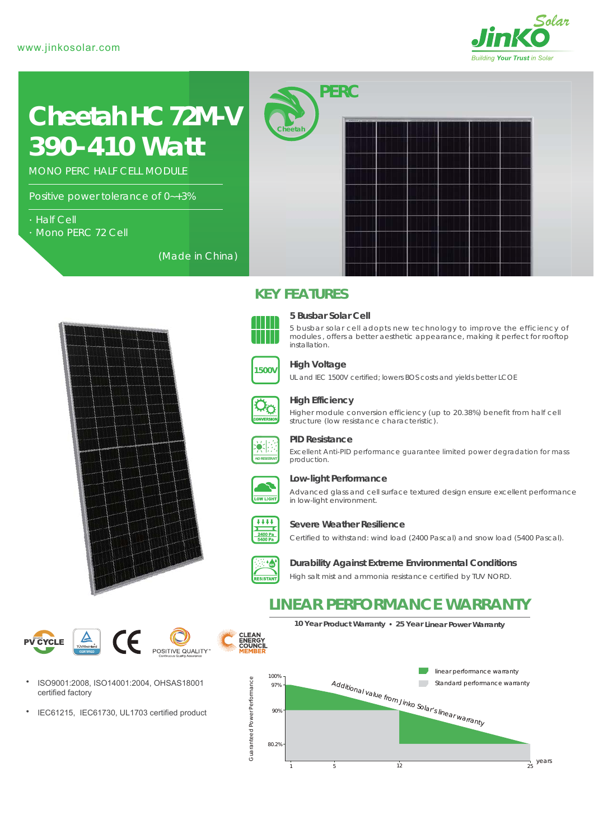

# *390-410 Watt* **Cheetah HC 72M-V**

MONO PERC HALF CELL MODULE

Positive power tolerance of 0~+3%

- Half Cell
- Mono PERC 72 Cell

(Made in China)





#### **5 Busbar Solar Cell**

*PERC*

5 busbar solar cell adopts new technology to improve the efficiency of modules , offers a better aesthetic appearance, making it perfect for rooftop installation.



#### **High Voltage**

**KEY FEATURES**

**Cheetah**

UL and IEC 1500V certified; lowers BOS costs and yields better LCOE



#### **High Efficiency**

Higher module conversion efficiency (up to 20.38%) benefit from half cell structure (low resistance characteristic).



#### **PID Resistance**

Excellent Anti-PID performance guarantee limited power degradation for mass production.



## **Low-light Performance**

Advanced glass and cell surface textured design ensure excellent performance in low-light environment.



#### **Severe Weather Resilience**

Certified to withstand: wind load (2400 Pascal) and snow load (5400 Pascal).



**CLEAN<br>ENERGY<br>COUNCI** 

# **Durability Against Extreme Environmental Conditions**

High salt mist and ammonia resistance certified by TUV NORD.

# **LINEAR PERFORMANCE WARRANTY**





- ISO9001:2008, ISO14001:2004, OHSAS18001 certified factory
- $\bullet$ IEC61215, IEC61730, UL1703 certified product

**10 Year Product Warranty 25 Year Linear Power Warranty**